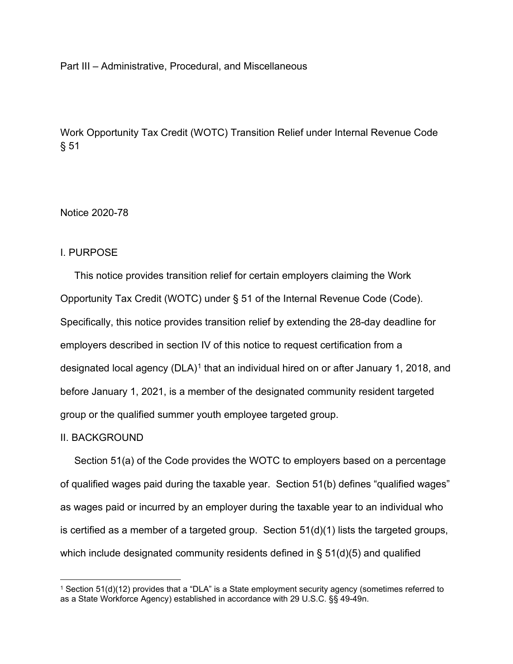#### Part III – Administrative, Procedural, and Miscellaneous

Work Opportunity Tax Credit (WOTC) Transition Relief under Internal Revenue Code § 51

Notice 2020-78

### I. PURPOSE

 This notice provides transition relief for certain employers claiming the Work Opportunity Tax Credit (WOTC) under § 51 of the Internal Revenue Code (Code). Specifically, this notice provides transition relief by extending the 28-day deadline for employers described in section IV of this notice to request certification from a designated local agency  $(DLA)^1$  $(DLA)^1$  that an individual hired on or after January 1, 2018, and before January 1, 2021, is a member of the designated community resident targeted group or the qualified summer youth employee targeted group.

### II. BACKGROUND

 Section 51(a) of the Code provides the WOTC to employers based on a percentage of qualified wages paid during the taxable year. Section 51(b) defines "qualified wages" as wages paid or incurred by an employer during the taxable year to an individual who is certified as a member of a targeted group. Section 51(d)(1) lists the targeted groups, which include designated community residents defined in § 51(d)(5) and qualified

<span id="page-0-0"></span><sup>&</sup>lt;sup>1</sup> Section 51(d)(12) provides that a "DLA" is a State employment security agency (sometimes referred to as a State Workforce Agency) established in accordance with 29 U.S.C. §§ 49-49n.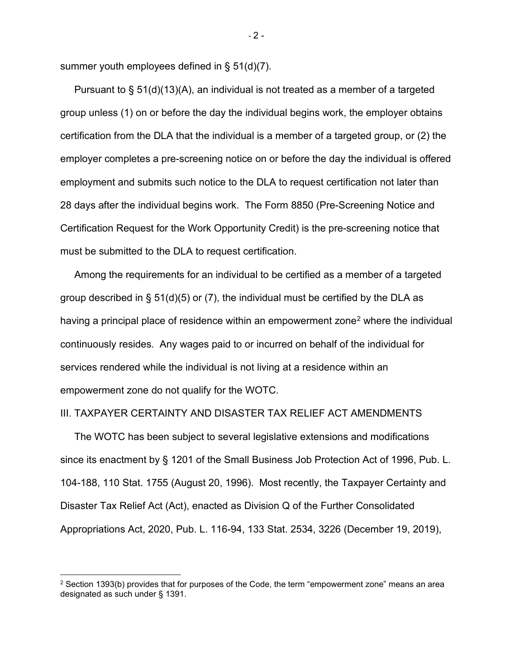summer youth employees defined in § 51(d)(7).

 Pursuant to § 51(d)(13)(A), an individual is not treated as a member of a targeted group unless (1) on or before the day the individual begins work, the employer obtains certification from the DLA that the individual is a member of a targeted group, or (2) the employer completes a pre-screening notice on or before the day the individual is offered employment and submits such notice to the DLA to request certification not later than 28 days after the individual begins work. The Form 8850 (Pre-Screening Notice and Certification Request for the Work Opportunity Credit) is the pre-screening notice that must be submitted to the DLA to request certification.

 Among the requirements for an individual to be certified as a member of a targeted group described in §  $51(d)(5)$  or (7), the individual must be certified by the DLA as having a principal place of residence within an empowerment zone<sup>[2](#page-1-0)</sup> where the individual continuously resides. Any wages paid to or incurred on behalf of the individual for services rendered while the individual is not living at a residence within an empowerment zone do not qualify for the WOTC.

### III. TAXPAYER CERTAINTY AND DISASTER TAX RELIEF ACT AMENDMENTS

 The WOTC has been subject to several legislative extensions and modifications since its enactment by § 1201 of the Small Business Job Protection Act of 1996, Pub. L. 104-188, 110 Stat. 1755 (August 20, 1996). Most recently, the Taxpayer Certainty and Disaster Tax Relief Act (Act), enacted as Division Q of the Further Consolidated Appropriations Act, 2020, Pub. L. 116-94, 133 Stat. 2534, 3226 (December 19, 2019),

 $-2 -$ 

<span id="page-1-0"></span> $2$  Section 1393(b) provides that for purposes of the Code, the term "empowerment zone" means an area designated as such under § 1391.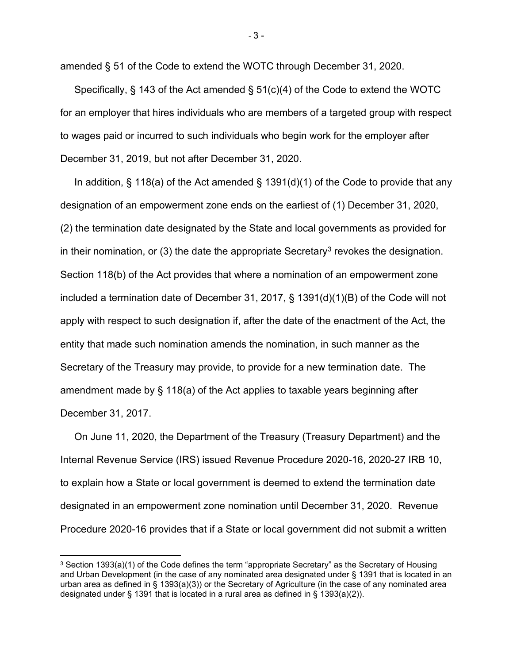amended § 51 of the Code to extend the WOTC through December 31, 2020.

 Specifically, § 143 of the Act amended § 51(c)(4) of the Code to extend the WOTC for an employer that hires individuals who are members of a targeted group with respect to wages paid or incurred to such individuals who begin work for the employer after December 31, 2019, but not after December 31, 2020.

In addition,  $\S$  118(a) of the Act amended  $\S$  1391(d)(1) of the Code to provide that any designation of an empowerment zone ends on the earliest of (1) December 31, 2020, (2) the termination date designated by the State and local governments as provided for in their nomination, or ([3](#page-2-0)) the date the appropriate Secretary<sup>3</sup> revokes the designation. Section 118(b) of the Act provides that where a nomination of an empowerment zone included a termination date of December 31, 2017, § 1391(d)(1)(B) of the Code will not apply with respect to such designation if, after the date of the enactment of the Act, the entity that made such nomination amends the nomination, in such manner as the Secretary of the Treasury may provide, to provide for a new termination date. The amendment made by § 118(a) of the Act applies to taxable years beginning after December 31, 2017.

 On June 11, 2020, the Department of the Treasury (Treasury Department) and the Internal Revenue Service (IRS) issued Revenue Procedure 2020-16, 2020-27 IRB 10, to explain how a State or local government is deemed to extend the termination date designated in an empowerment zone nomination until December 31, 2020. Revenue Procedure 2020-16 provides that if a State or local government did not submit a written

- 3 -

<span id="page-2-0"></span> $3$  Section 1393(a)(1) of the Code defines the term "appropriate Secretary" as the Secretary of Housing and Urban Development (in the case of any nominated area designated under § 1391 that is located in an urban area as defined in § 1393(a)(3)) or the Secretary of Agriculture (in the case of any nominated area designated under § 1391 that is located in a rural area as defined in § 1393(a)(2)).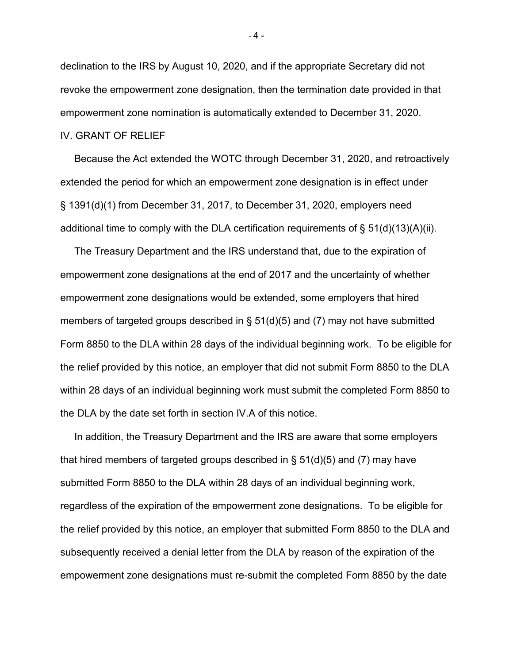declination to the IRS by August 10, 2020, and if the appropriate Secretary did not revoke the empowerment zone designation, then the termination date provided in that empowerment zone nomination is automatically extended to December 31, 2020. IV. GRANT OF RELIEF

 Because the Act extended the WOTC through December 31, 2020, and retroactively extended the period for which an empowerment zone designation is in effect under § 1391(d)(1) from December 31, 2017, to December 31, 2020, employers need additional time to comply with the DLA certification requirements of  $\S$  51(d)(13)(A)(ii).

 The Treasury Department and the IRS understand that, due to the expiration of empowerment zone designations at the end of 2017 and the uncertainty of whether empowerment zone designations would be extended, some employers that hired members of targeted groups described in  $\S$  51(d)(5) and (7) may not have submitted Form 8850 to the DLA within 28 days of the individual beginning work. To be eligible for the relief provided by this notice, an employer that did not submit Form 8850 to the DLA within 28 days of an individual beginning work must submit the completed Form 8850 to the DLA by the date set forth in section IV.A of this notice.

 In addition, the Treasury Department and the IRS are aware that some employers that hired members of targeted groups described in § 51(d)(5) and (7) may have submitted Form 8850 to the DLA within 28 days of an individual beginning work, regardless of the expiration of the empowerment zone designations. To be eligible for the relief provided by this notice, an employer that submitted Form 8850 to the DLA and subsequently received a denial letter from the DLA by reason of the expiration of the empowerment zone designations must re-submit the completed Form 8850 by the date

 $-4 -$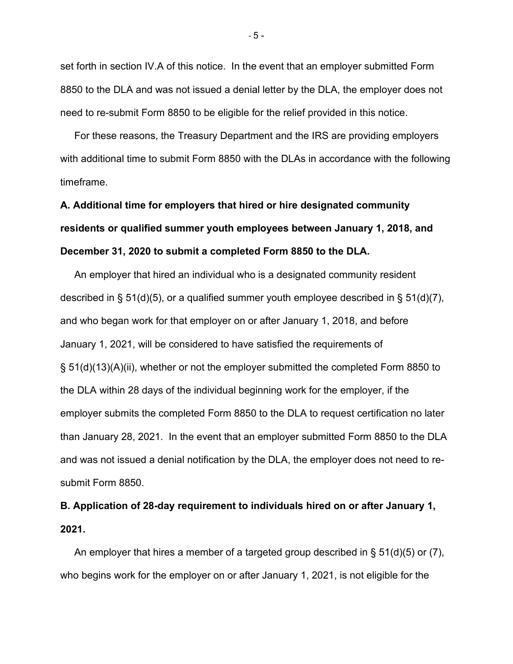set forth in section IV.A of this notice. In the event that an employer submitted Form 8850 to the DLA and was not issued a denial letter by the DLA, the employer does not need to re-submit Form 8850 to be eligible for the relief provided in this notice.

 For these reasons, the Treasury Department and the IRS are providing employers with additional time to submit Form 8850 with the DLAs in accordance with the following timeframe.

# **A. Additional time for employers that hired or hire designated community residents or qualified summer youth employees between January 1, 2018, and December 31, 2020 to submit a completed Form 8850 to the DLA.**

 An employer that hired an individual who is a designated community resident described in § 51(d)(5), or a qualified summer youth employee described in § 51(d)(7), and who began work for that employer on or after January 1, 2018, and before January 1, 2021, will be considered to have satisfied the requirements of § 51(d)(13)(A)(ii), whether or not the employer submitted the completed Form 8850 to the DLA within 28 days of the individual beginning work for the employer, if the employer submits the completed Form 8850 to the DLA to request certification no later than January 28, 2021. In the event that an employer submitted Form 8850 to the DLA and was not issued a denial notification by the DLA, the employer does not need to resubmit Form 8850.

# **B. Application of 28-day requirement to individuals hired on or after January 1, 2021.**

 An employer that hires a member of a targeted group described in § 51(d)(5) or (7), who begins work for the employer on or after January 1, 2021, is not eligible for the

- 5 -